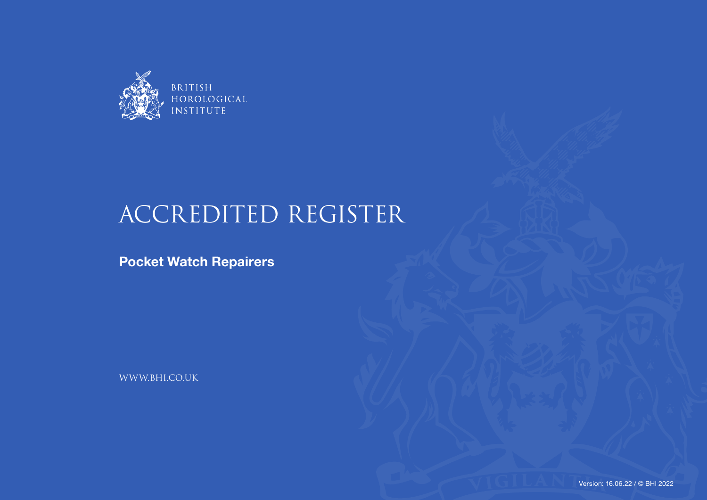

## ACCREDITED REGISTER

**Pocket Watch Repairers**

WWW.BHI.CO.UK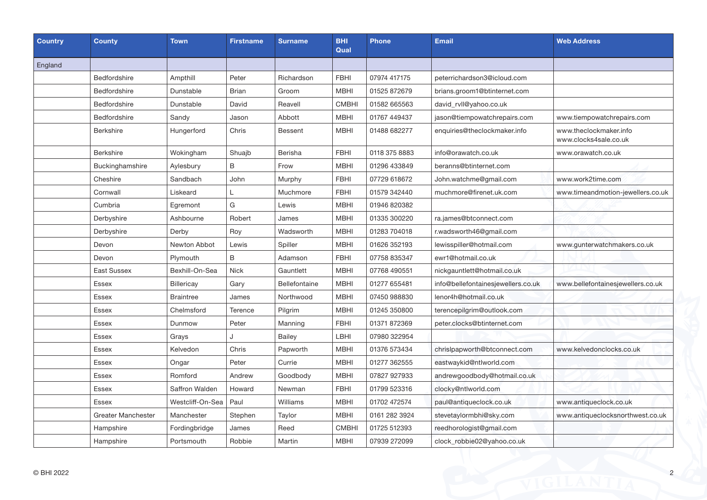| Country | <b>County</b>             | <b>Town</b>      | <b>Firstname</b> | <b>Surname</b> | BHI<br>Qual  | <b>Phone</b>  | <b>Email</b>                       | <b>Web Address</b>                              |
|---------|---------------------------|------------------|------------------|----------------|--------------|---------------|------------------------------------|-------------------------------------------------|
| England |                           |                  |                  |                |              |               |                                    |                                                 |
|         | <b>Bedfordshire</b>       | Ampthill         | Peter            | Richardson     | <b>FBHI</b>  | 07974 417175  | peterrichardson3@icloud.com        |                                                 |
|         | Bedfordshire              | Dunstable        | <b>Brian</b>     | Groom          | <b>MBHI</b>  | 01525 872679  | brians.groom1@btinternet.com       |                                                 |
|         | Bedfordshire              | Dunstable        | David            | Reavell        | <b>CMBHI</b> | 01582 665563  | david_rvll@yahoo.co.uk             |                                                 |
|         | Bedfordshire              | Sandy            | Jason            | Abbott         | <b>MBHI</b>  | 01767 449437  | jason@tiempowatchrepairs.com       | www.tiempowatchrepairs.com                      |
|         | <b>Berkshire</b>          | Hungerford       | Chris            | Bessent        | <b>MBHI</b>  | 01488 682277  | enquiries@theclockmaker.info       | www.theclockmaker.info<br>www.clocks4sale.co.uk |
|         | <b>Berkshire</b>          | Wokingham        | Shuajb           | Berisha        | <b>FBHI</b>  | 0118 375 8883 | info@orawatch.co.uk                | www.orawatch.co.uk                              |
|         | Buckinghamshire           | Aylesbury        | $\sf B$          | Frow           | MBHI         | 01296 433849  | beranns@btinternet.com             |                                                 |
|         | Cheshire                  | Sandbach         | John             | Murphy         | <b>FBHI</b>  | 07729 618672  | John.watchme@gmail.com             | www.work2time.com                               |
|         | Cornwall                  | Liskeard         | L                | Muchmore       | <b>FBHI</b>  | 01579 342440  | muchmore@firenet.uk.com            | www.timeandmotion-jewellers.co.uk               |
|         | Cumbria                   | Egremont         | G                | Lewis          | <b>MBHI</b>  | 01946 820382  |                                    |                                                 |
|         | Derbyshire                | Ashbourne        | Robert           | James          | <b>MBHI</b>  | 01335 300220  | ra.james@btconnect.com             |                                                 |
|         | Derbyshire                | Derby            | Roy              | Wadsworth      | <b>MBHI</b>  | 01283 704018  | r.wadsworth46@gmail.com            |                                                 |
|         | Devon                     | Newton Abbot     | Lewis            | Spiller        | <b>MBHI</b>  | 01626 352193  | lewisspiller@hotmail.com           | www.gunterwatchmakers.co.uk                     |
|         | Devon                     | Plymouth         | B                | Adamson        | <b>FBHI</b>  | 07758 835347  | ewr1@hotmail.co.uk                 |                                                 |
|         | East Sussex               | Bexhill-On-Sea   | Nick             | Gauntlett      | <b>MBHI</b>  | 07768 490551  | nickgauntlett@hotmail.co.uk        |                                                 |
|         | <b>Essex</b>              | Billericay       | Gary             | Bellefontaine  | <b>MBHI</b>  | 01277 655481  | info@bellefontainesjewellers.co.uk | www.bellefontainesjewellers.co.uk               |
|         | <b>Essex</b>              | <b>Braintree</b> | James            | Northwood      | <b>MBHI</b>  | 07450 988830  | lenor4h@hotmail.co.uk              |                                                 |
|         | Essex                     | Chelmsford       | Terence          | Pilgrim        | <b>MBHI</b>  | 01245 350800  | terencepilgrim@outlook.com         |                                                 |
|         | Essex                     | Dunmow           | Peter            | Manning        | <b>FBHI</b>  | 01371 872369  | peter.clocks@btinternet.com        |                                                 |
|         | <b>Essex</b>              | Grays            | J                | <b>Bailey</b>  | LBHI         | 07980 322954  |                                    |                                                 |
|         | Essex                     | Kelvedon         | Chris            | Papworth       | <b>MBHI</b>  | 01376 573434  | chrislpapworth@btconnect.com       | www.kelvedonclocks.co.uk                        |
|         | Essex                     | Ongar            | Peter            | Currie         | <b>MBHI</b>  | 01277 362555  | eastwaykid@ntlworld.com            |                                                 |
|         | <b>Essex</b>              | Romford          | Andrew           | Goodbody       | <b>MBHI</b>  | 07827 927933  | andrewgoodbody@hotmail.co.uk       |                                                 |
|         | <b>Essex</b>              | Saffron Walden   | Howard           | Newman         | <b>FBHI</b>  | 01799 523316  | clocky@ntlworld.com                |                                                 |
|         | Essex                     | Westcliff-On-Sea | Paul             | Williams       | <b>MBHI</b>  | 01702 472574  | paul@antiqueclock.co.uk            | www.antiqueclock.co.uk                          |
|         | <b>Greater Manchester</b> | Manchester       | Stephen          | Taylor         | <b>MBHI</b>  | 0161 282 3924 | stevetaylormbhi@sky.com            | www.antiqueclocksnorthwest.co.uk                |
|         | Hampshire                 | Fordingbridge    | James            | Reed           | <b>CMBHI</b> | 01725 512393  | reedhorologist@gmail.com           |                                                 |
|         | Hampshire                 | Portsmouth       | Robbie           | Martin         | <b>MBHI</b>  | 07939 272099  | clock_robbie02@yahoo.co.uk         |                                                 |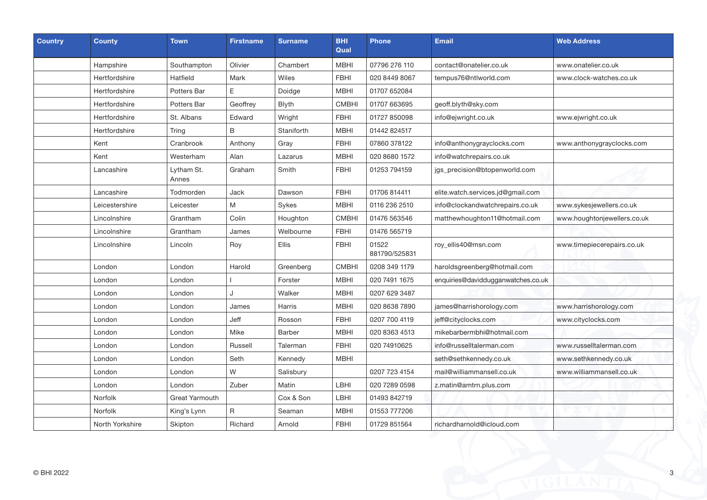| <b>Country</b> | County          | <b>Town</b>         | <b>Firstname</b> | <b>Surname</b> | <b>BHI</b><br>Qual | <b>Phone</b>           | <b>Email</b>                       | <b>Web Address</b>          |
|----------------|-----------------|---------------------|------------------|----------------|--------------------|------------------------|------------------------------------|-----------------------------|
|                | Hampshire       | Southampton         | Olivier          | Chambert       | <b>MBHI</b>        | 07796 276 110          | contact@onatelier.co.uk            | www.onatelier.co.uk         |
|                | Hertfordshire   | Hatfield            | Mark             | Wiles          | <b>FBHI</b>        | 020 8449 8067          | tempus76@ntlworld.com              | www.clock-watches.co.uk     |
|                | Hertfordshire   | Potters Bar         | E                | Doidge         | <b>MBHI</b>        | 01707 652084           |                                    |                             |
|                | Hertfordshire   | Potters Bar         | Geoffrey         | <b>Blyth</b>   | <b>CMBHI</b>       | 01707 663695           | geoff.blyth@sky.com                |                             |
|                | Hertfordshire   | St. Albans          | Edward           | Wright         | <b>FBHI</b>        | 01727 850098           | info@ejwright.co.uk                | www.ejwright.co.uk          |
|                | Hertfordshire   | Tring               | B                | Staniforth     | <b>MBHI</b>        | 01442 824517           |                                    |                             |
|                | Kent            | Cranbrook           | Anthony          | Gray           | <b>FBHI</b>        | 07860 378122           | info@anthonygrayclocks.com         | www.anthonygrayclocks.com   |
|                | Kent            | Westerham           | Alan             | Lazarus        | <b>MBHI</b>        | 020 8680 1572          | info@watchrepairs.co.uk            |                             |
|                | Lancashire      | Lytham St.<br>Annes | Graham           | Smith          | <b>FBHI</b>        | 01253 794159           | jgs_precision@btopenworld.com      |                             |
|                | Lancashire      | Todmorden           | Jack             | Dawson         | <b>FBHI</b>        | 01706 814411           | elite.watch.services.jd@gmail.com  |                             |
|                | Leicestershire  | Leicester           | M                | Sykes          | <b>MBHI</b>        | 0116 236 2510          | info@clockandwatchrepairs.co.uk    | www.sykesjewellers.co.uk    |
|                | Lincolnshire    | Grantham            | Colin            | Houghton       | <b>CMBHI</b>       | 01476 563546           | matthewhoughton11@hotmail.com      | www.houghtonjewellers.co.uk |
|                | Lincolnshire    | Grantham            | James            | Welbourne      | <b>FBHI</b>        | 01476 565719           |                                    |                             |
|                | Lincolnshire    | Lincoln             | Roy              | <b>Ellis</b>   | <b>FBHI</b>        | 01522<br>881790/525831 | roy_ellis40@msn.com                | www.timepiecerepairs.co.uk  |
|                | London          | London              | Harold           | Greenberg      | <b>CMBHI</b>       | 0208 349 1179          | haroldsgreenberg@hotmail.com       |                             |
|                | London          | London              |                  | Forster        | <b>MBHI</b>        | 020 7491 1675          | enquiries@daviddugganwatches.co.uk |                             |
|                | London          | London              | $\cdot$          | Walker         | <b>MBHI</b>        | 0207 629 3487          |                                    |                             |
|                | London          | London              | James            | Harris         | <b>MBHI</b>        | 020 8638 7890          | james@harrishorology.com           | www.harrishorology.com      |
|                | London          | London              | Jeff             | Rosson         | <b>FBHI</b>        | 0207 700 4119          | jeff@cityclocks.com                | www.cityclocks.com          |
|                | London          | London              | Mike             | <b>Barber</b>  | <b>MBHI</b>        | 020 8363 4513          | mikebarbermbhi@hotmail.com         |                             |
|                | London          | London              | Russell          | Talerman       | <b>FBHI</b>        | 020 74910625           | info@russelltalerman.com           | www.russelltalerman.com     |
|                | London          | London              | Seth             | Kennedy        | <b>MBHI</b>        |                        | seth@sethkennedy.co.uk             | www.sethkennedy.co.uk       |
|                | London          | London              | W                | Salisbury      |                    | 0207 723 4154          | mail@williammansell.co.uk          | www.williammansell.co.uk    |
|                | London          | London              | Zuber            | Matin          | LBHI               | 020 7289 0598          | z.matin@amtrn.plus.com             |                             |
|                | Norfolk         | Great Yarmouth      |                  | Cox & Son      | LBHI               | 01493 842719           |                                    |                             |
|                | Norfolk         | King's Lynn         | R                | Seaman         | <b>MBHI</b>        | 01553 777206           |                                    |                             |
|                | North Yorkshire | Skipton             | Richard          | Arnold         | <b>FBHI</b>        | 01729 851564           | richardharnold@icloud.com          |                             |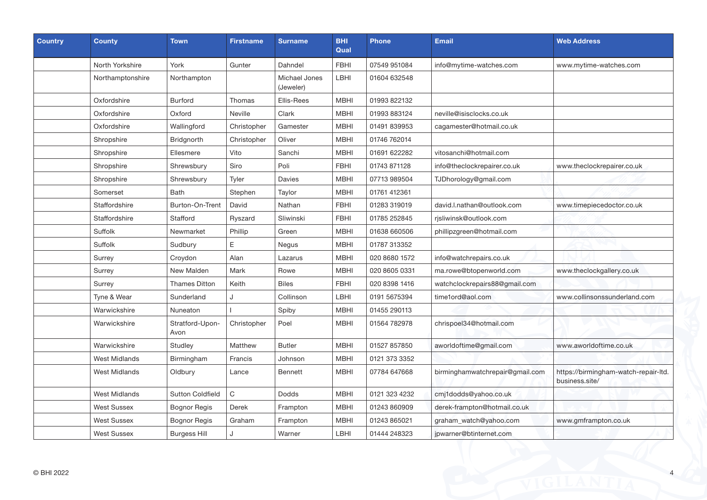| <b>Country</b> | <b>County</b>        | <b>Town</b>             | <b>Firstname</b> | <b>Surname</b>             | <b>BHI</b><br>Qual | <b>Phone</b>  | <b>Email</b>                    | <b>Web Address</b>                                     |
|----------------|----------------------|-------------------------|------------------|----------------------------|--------------------|---------------|---------------------------------|--------------------------------------------------------|
|                | North Yorkshire      | York                    | Gunter           | Dahndel                    | <b>FBHI</b>        | 07549 951084  | info@mytime-watches.com         | www.mytime-watches.com                                 |
|                | Northamptonshire     | Northampton             |                  | Michael Jones<br>(Jeweler) | LBHI               | 01604 632548  |                                 |                                                        |
|                | Oxfordshire          | <b>Burford</b>          | Thomas           | Ellis-Rees                 | <b>MBHI</b>        | 01993 822132  |                                 |                                                        |
|                | Oxfordshire          | Oxford                  | Neville          | Clark                      | <b>MBHI</b>        | 01993 883124  | neville@isisclocks.co.uk        |                                                        |
|                | Oxfordshire          | Wallingford             | Christopher      | Gamester                   | <b>MBHI</b>        | 01491 839953  | cagamester@hotmail.co.uk        |                                                        |
|                | Shropshire           | <b>Bridgnorth</b>       | Christopher      | Oliver                     | <b>MBHI</b>        | 01746 762014  |                                 |                                                        |
|                | Shropshire           | Ellesmere               | Vito             | Sanchi                     | <b>MBHI</b>        | 01691 622282  | vitosanchi@hotmail.com          |                                                        |
|                | Shropshire           | Shrewsbury              | Siro             | Poli                       | <b>FBHI</b>        | 01743 871128  | info@theclockrepairer.co.uk     | www.theclockrepairer.co.uk                             |
|                | Shropshire           | Shrewsbury              | Tyler            | Davies                     | <b>MBHI</b>        | 07713 989504  | TJDhorology@gmail.com           |                                                        |
|                | Somerset             | <b>Bath</b>             | Stephen          | Taylor                     | <b>MBHI</b>        | 01761 412361  |                                 |                                                        |
|                | Staffordshire        | Burton-On-Trent         | David            | Nathan                     | <b>FBHI</b>        | 01283 319019  | david.l.nathan@outlook.com      | www.timepiecedoctor.co.uk                              |
|                | Staffordshire        | Stafford                | Ryszard          | Sliwinski                  | <b>FBHI</b>        | 01785 252845  | rjsliwinsk@outlook.com          |                                                        |
|                | Suffolk              | Newmarket               | Phillip          | Green                      | <b>MBHI</b>        | 01638 660506  | phillipzgreen@hotmail.com       |                                                        |
|                | Suffolk              | Sudbury                 | E                | Negus                      | MBHI               | 01787 313352  |                                 |                                                        |
|                | Surrey               | Croydon                 | Alan             | Lazarus                    | <b>MBHI</b>        | 020 8680 1572 | info@watchrepairs.co.uk         |                                                        |
|                | Surrey               | New Malden              | Mark             | Rowe                       | <b>MBHI</b>        | 020 8605 0331 | ma.rowe@btopenworld.com         | www.theclockgallery.co.uk                              |
|                | Surrey               | <b>Thames Ditton</b>    | Keith            | <b>Biles</b>               | <b>FBHI</b>        | 020 8398 1416 | watchclockrepairs88@gmail.com   |                                                        |
|                | Tyne & Wear          | Sunderland              | J                | Collinson                  | LBHI               | 0191 5675394  | time1ord@aol.com                | www.collinsonssunderland.com                           |
|                | Warwickshire         | Nuneaton                |                  | Spiby                      | <b>MBHI</b>        | 01455 290113  |                                 |                                                        |
|                | Warwickshire         | Stratford-Upon-<br>Avon | Christopher      | Poel                       | MBHI               | 01564 782978  | chrispoel34@hotmail.com         |                                                        |
|                | Warwickshire         | Studley                 | Matthew          | <b>Butler</b>              | <b>MBHI</b>        | 01527 857850  | aworldoftime@gmail.com          | www.aworldoftime.co.uk                                 |
|                | <b>West Midlands</b> | Birmingham              | Francis          | Johnson                    | MBHI               | 0121 373 3352 |                                 |                                                        |
|                | West Midlands        | Oldbury                 | Lance            | <b>Bennett</b>             | MBHI               | 07784 647668  | birminghamwatchrepair@gmail.com | https://birmingham-watch-repair-ltd.<br>business.site/ |
|                | West Midlands        | <b>Sutton Coldfield</b> | $\mathsf{C}$     | <b>Dodds</b>               | MBHI               | 0121 323 4232 | cmj1dodds@yahoo.co.uk           |                                                        |
|                | <b>West Sussex</b>   | <b>Bognor Regis</b>     | <b>Derek</b>     | Frampton                   | <b>MBHI</b>        | 01243 860909  | derek-frampton@hotmail.co.uk    |                                                        |
|                | <b>West Sussex</b>   | <b>Bognor Regis</b>     | Graham           | Frampton                   | <b>MBHI</b>        | 01243 865021  | graham_watch@yahoo.com          | www.gmframpton.co.uk                                   |
|                | <b>West Sussex</b>   | <b>Burgess Hill</b>     | J                | Warner                     | <b>LBHI</b>        | 01444 248323  | jpwarner@btinternet.com         |                                                        |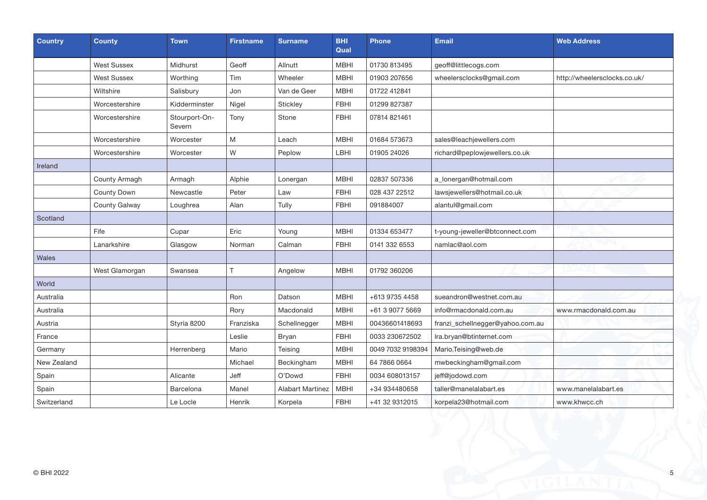| <b>Country</b> | <b>County</b>      | <b>Town</b>             | <b>Firstname</b> | <b>Surname</b>          | <b>BHI</b><br>Qual | <b>Phone</b>      | <b>Email</b>                     | <b>Web Address</b>           |
|----------------|--------------------|-------------------------|------------------|-------------------------|--------------------|-------------------|----------------------------------|------------------------------|
|                | <b>West Sussex</b> | Midhurst                | Geoff            | Allnutt                 | <b>MBHI</b>        | 01730 813495      | geoff@littlecogs.com             |                              |
|                | <b>West Sussex</b> | Worthing                | Tim              | Wheeler                 | <b>MBHI</b>        | 01903 207656      | wheelersclocks@gmail.com         | http://wheelersclocks.co.uk/ |
|                | Wiltshire          | Salisbury               | Jon              | Van de Geer             | <b>MBHI</b>        | 01722 412841      |                                  |                              |
|                | Worcestershire     | Kidderminster           | Nigel            | Stickley                | <b>FBHI</b>        | 01299 827387      |                                  |                              |
|                | Worcestershire     | Stourport-On-<br>Severn | Tony             | Stone                   | <b>FBHI</b>        | 07814 821461      |                                  |                              |
|                | Worcestershire     | Worcester               | M                | Leach                   | <b>MBHI</b>        | 01684 573673      | sales@leachjewellers.com         |                              |
|                | Worcestershire     | Worcester               | W                | Peplow                  | LBHI               | 01905 24026       | richard@peplowjewellers.co.uk    |                              |
| Ireland        |                    |                         |                  |                         |                    |                   |                                  |                              |
|                | County Armagh      | Armagh                  | Alphie           | Lonergan                | <b>MBHI</b>        | 02837 507336      | a_lonergan@hotmail.com           |                              |
|                | County Down        | Newcastle               | Peter            | Law                     | <b>FBHI</b>        | 028 437 22512     | lawsjewellers@hotmail.co.uk      |                              |
|                | County Galway      | Loughrea                | Alan             | Tully                   | <b>FBHI</b>        | 091884007         | alantul@gmail.com                |                              |
| Scotland       |                    |                         |                  |                         |                    |                   |                                  |                              |
|                | Fife               | Cupar                   | Eric             | Young                   | <b>MBHI</b>        | 01334 653477      | t-young-jeweller@btconnect.com   |                              |
|                | Lanarkshire        | Glasgow                 | Norman           | Calman                  | <b>FBHI</b>        | 0141 332 6553     | namlac@aol.com                   |                              |
| Wales          |                    |                         |                  |                         |                    |                   |                                  |                              |
|                | West Glamorgan     | Swansea                 | т                | Angelow                 | <b>MBHI</b>        | 01792 360206      |                                  |                              |
| World          |                    |                         |                  |                         |                    |                   |                                  |                              |
| Australia      |                    |                         | Ron              | Datson                  | <b>MBHI</b>        | +613 9735 4458    | sueandron@westnet.com.au         |                              |
| Australia      |                    |                         | Rory             | Macdonald               | <b>MBHI</b>        | +61 3 9077 5669   | info@rmacdonald.com.au           | www.rmacdonald.com.au        |
| Austria        |                    | Styria 8200             | Franziska        | Schellnegger            | <b>MBHI</b>        | 00436601418693    | franzi_schellnegger@yahoo.com.au |                              |
| France         |                    |                         | Leslie           | Bryan                   | <b>FBHI</b>        | 0033 230672502    | Ira.bryan@btinternet.com         |                              |
| Germany        |                    | Herrenberg              | Mario            | Teising                 | <b>MBHI</b>        | 0049 7032 9198394 | Mario.Teising@web.de             |                              |
| New Zealand    |                    |                         | Michael          | Beckingham              | <b>MBHI</b>        | 64 7866 0664      | mwbeckingham@gmail.com           |                              |
| Spain          |                    | Alicante                | Jeff             | O'Dowd                  | <b>FBHI</b>        | 0034 608013157    | jeff@jodowd.com                  |                              |
| Spain          |                    | Barcelona               | Manel            | <b>Alabart Martinez</b> | <b>MBHI</b>        | +34 934480658     | taller@manelalabart.es           | www.manelalabart.es          |
| Switzerland    |                    | Le Locle                | Henrik           | Korpela                 | <b>FBHI</b>        | +41 32 9312015    | korpela23@hotmail.com            | www.khwcc.ch                 |